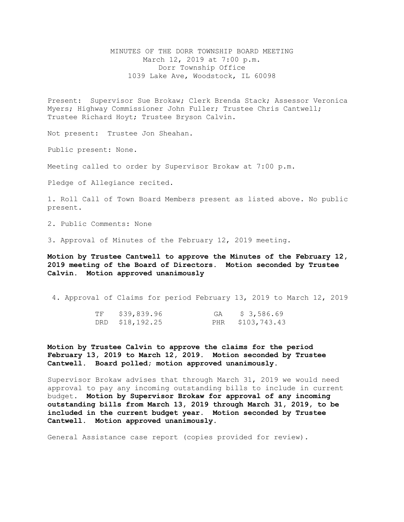## MINUTES OF THE DORR TOWNSHIP BOARD MEETING March 12, 2019 at 7:00 p.m. Dorr Township Office 1039 Lake Ave, Woodstock, IL 60098

Present: Supervisor Sue Brokaw; Clerk Brenda Stack; Assessor Veronica Myers; Highway Commissioner John Fuller; Trustee Chris Cantwell; Trustee Richard Hoyt; Trustee Bryson Calvin.

Not present: Trustee Jon Sheahan.

Public present: None.

Meeting called to order by Supervisor Brokaw at 7:00 p.m.

Pledge of Allegiance recited.

1. Roll Call of Town Board Members present as listed above. No public present.

2. Public Comments: None

3. Approval of Minutes of the February 12, 2019 meeting.

**Motion by Trustee Cantwell to approve the Minutes of the February 12, 2019 meeting of the Board of Directors. Motion seconded by Trustee Calvin. Motion approved unanimously** 

4. Approval of Claims for period February 13, 2019 to March 12, 2019

| TF | \$39,839.96     | GA | \$3,586.69       |
|----|-----------------|----|------------------|
|    | DRD \$18,192.25 |    | PHR \$103,743.43 |

**Motion by Trustee Calvin to approve the claims for the period February 13, 2019 to March 12, 2019. Motion seconded by Trustee Cantwell. Board polled; motion approved unanimously.**

Supervisor Brokaw advises that through March 31, 2019 we would need approval to pay any incoming outstanding bills to include in current budget. **Motion by Supervisor Brokaw for approval of any incoming outstanding bills from March 13, 2019 through March 31, 2019, to be included in the current budget year. Motion seconded by Trustee Cantwell. Motion approved unanimously.** 

General Assistance case report (copies provided for review).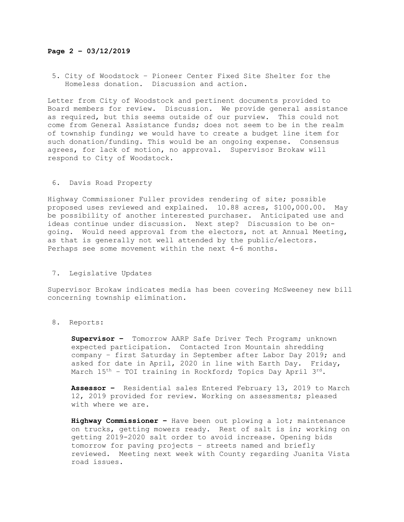## **Page 2 – 03/12/2019**

5. City of Woodstock – Pioneer Center Fixed Site Shelter for the Homeless donation. Discussion and action.

Letter from City of Woodstock and pertinent documents provided to Board members for review. Discussion. We provide general assistance as required, but this seems outside of our purview. This could not come from General Assistance funds; does not seem to be in the realm of township funding; we would have to create a budget line item for such donation/funding. This would be an ongoing expense. Consensus agrees, for lack of motion, no approval. Supervisor Brokaw will respond to City of Woodstock.

## 6. Davis Road Property

Highway Commissioner Fuller provides rendering of site; possible proposed uses reviewed and explained. 10.88 acres, \$100,000.00. May be possibility of another interested purchaser. Anticipated use and ideas continue under discussion. Next step? Discussion to be ongoing. Would need approval from the electors, not at Annual Meeting, as that is generally not well attended by the public/electors. Perhaps see some movement within the next 4-6 months.

7**.** Legislative Updates

Supervisor Brokaw indicates media has been covering McSweeney new bill concerning township elimination.

## 8. Reports:

**Supervisor –** Tomorrow AARP Safe Driver Tech Program; unknown expected participation. Contacted Iron Mountain shredding company – first Saturday in September after Labor Day 2019; and asked for date in April, 2020 in line with Earth Day. Friday, March  $15<sup>th</sup>$  – TOI training in Rockford; Topics Day April  $3<sup>rd</sup>$ .

**Assessor –** Residential sales Entered February 13, 2019 to March 12, 2019 provided for review. Working on assessments; pleased with where we are.

**Highway Commissioner –** Have been out plowing a lot; maintenance on trucks, getting mowers ready. Rest of salt is in; working on getting 2019-2020 salt order to avoid increase. Opening bids tomorrow for paving projects – streets named and briefly reviewed. Meeting next week with County regarding Juanita Vista road issues.